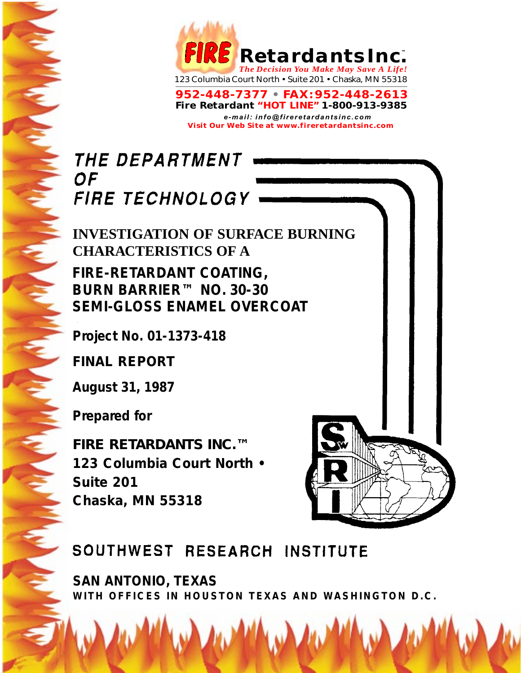

**952-448-7377 • FAX:952-448-2613 Fire Retardant "HOT LINE" 1-800-913-9385** *e-mail: info@fireretardantsinc.com* **Visit Our Web Site at www.fireretardantsinc.com**

# THE DEPARTMENT **OF** FIRE TECHNOLOGY

## **INVESTIGATION OF SURFACE BURNING CHARACTERISTICS OF A**

**FIRE-RETARDANT COATING, BURN BARRIER™ NO. 30-30 SEMI-GLOSS ENAMEL OVERCOAT**

**Project No. 01-1373-418**

**FINAL REPORT**

**August 31, 1987**

**Prepared for**

*FIRE RETARDANTS INC.™* **123 Columbia Court North • Suite 201 Chaska, MN 55318**

# SOUTHWEST RESEARCH INSTITUTE

**SAN ANTONIO, TEXAS WITH OFFICES IN HOUSTON TEXAS AND WASHINGTON D.C.**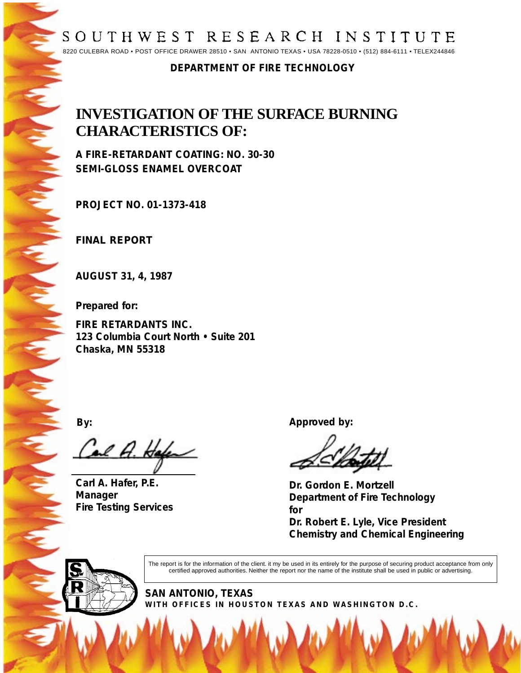## SOUTHWEST RESEARCH INSTITUTE

8220 CULEBRA ROAD • POST OFFICE DRAWER 28510 • SAN ANTONIO TEXAS • USA 78228-0510 • (512) 884-6111 • TELEX244846

#### **DEPARTMENT OF FIRE TECHNOLOGY**

## **INVESTIGATION OF THE SURFACE BURNING CHARACTERISTICS OF:**

**A FIRE-RETARDANT COATING: NO. 30-30 SEMI-GLOSS ENAMEL OVERCOAT**

**PROJECT NO. 01-1373-418**

**FINAL REPORT**

**AUGUST 31, 4, 1987**

**Prepared for:**

**FIRE RETARDANTS INC. 123 Columbia Court North • Suite 201 Chaska, MN 55318**

Cal A. Hafe

**Carl A. Hafer, P.E. Manager Fire Testing Services**

**By: Approved by:**

**Dr. Gordon E. Mortzell Department of Fire Technology for**

**Dr. Robert E. Lyle, Vice President Chemistry and Chemical Engineering**



The report is for the information of the client. it my be used in its entirely for the purpose of securing product acceptance from only certified approved authorities. Neither the report nor the name of the institute shall be used in public or advertising.

**SAN ANTONIO, TEXAS WITH OFFICES IN HOUSTON TEXAS AND WASHINGTON D.C.**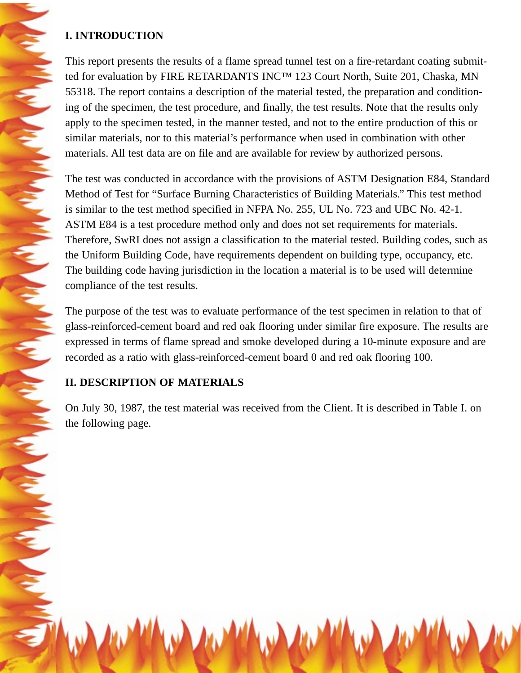#### **I. INTRODUCTION**

**CONTRACTORY AND CONTRACTORY** 

**CONTRACT** 

Company Company

This report presents the results of a flame spread tunnel test on a fire-retardant coating submitted for evaluation by FIRE RETARDANTS INC™ 123 Court North, Suite 201, Chaska, MN 55318. The report contains a description of the material tested, the preparation and conditioning of the specimen, the test procedure, and finally, the test results. Note that the results only apply to the specimen tested, in the manner tested, and not to the entire production of this or similar materials, nor to this material's performance when used in combination with other materials. All test data are on file and are available for review by authorized persons.

The test was conducted in accordance with the provisions of ASTM Designation E84, Standard Method of Test for "Surface Burning Characteristics of Building Materials." This test method is similar to the test method specified in NFPA No. 255, UL No. 723 and UBC No. 42-1. ASTM E84 is a test procedure method only and does not set requirements for materials. Therefore, SwRI does not assign a classification to the material tested. Building codes, such as the Uniform Building Code, have requirements dependent on building type, occupancy, etc. The building code having jurisdiction in the location a material is to be used will determine compliance of the test results.

The purpose of the test was to evaluate performance of the test specimen in relation to that of glass-reinforced-cement board and red oak flooring under similar fire exposure. The results are expressed in terms of flame spread and smoke developed during a 10-minute exposure and are recorded as a ratio with glass-reinforced-cement board 0 and red oak flooring 100.

### **II. DESCRIPTION OF MATERIALS**

On July 30, 1987, the test material was received from the Client. It is described in Table I. on the following page.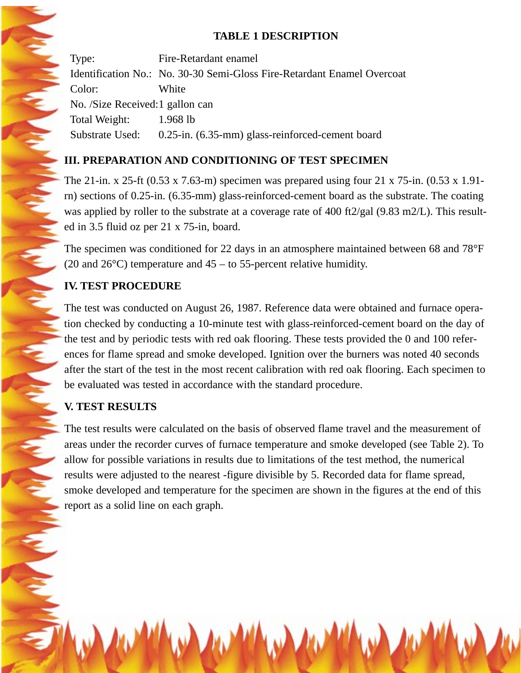#### **TABLE 1 DESCRIPTION**

Type: Fire-Retardant enamel Identification No.: No. 30-30 Semi-Gloss Fire-Retardant Enamel Overcoat Color: White No. /Size Received:1 gallon can Total Weight: 1.968 lb Substrate Used: 0.25-in. (6.35-mm) glass-reinforced-cement board

### **III. PREPARATION AND CONDITIONING OF TEST SPECIMEN**

The 21-in. x 25-ft (0.53 x 7.63-m) specimen was prepared using four 21 x 75-in. (0.53 x 1.91 rn) sections of 0.25-in. (6.35-mm) glass-reinforced-cement board as the substrate. The coating was applied by roller to the substrate at a coverage rate of 400 ft2/gal (9.83 m2/L). This resulted in 3.5 fluid oz per 21 x 75-in, board.

The specimen was conditioned for 22 days in an atmosphere maintained between 68 and 78°F (20 and  $26^{\circ}$ C) temperature and  $45 -$  to 55-percent relative humidity.

#### **IV. TEST PROCEDURE**

The test was conducted on August 26, 1987. Reference data were obtained and furnace operation checked by conducting a 10-minute test with glass-reinforced-cement board on the day of the test and by periodic tests with red oak flooring. These tests provided the 0 and 100 references for flame spread and smoke developed. Ignition over the burners was noted 40 seconds after the start of the test in the most recent calibration with red oak flooring. Each specimen to be evaluated was tested in accordance with the standard procedure.

#### **V. TEST RESULTS**

The test results were calculated on the basis of observed flame travel and the measurement of areas under the recorder curves of furnace temperature and smoke developed (see Table 2). To allow for possible variations in results due to limitations of the test method, the numerical results were adjusted to the nearest -figure divisible by 5. Recorded data for flame spread, smoke developed and temperature for the specimen are shown in the figures at the end of this report as a solid line on each graph.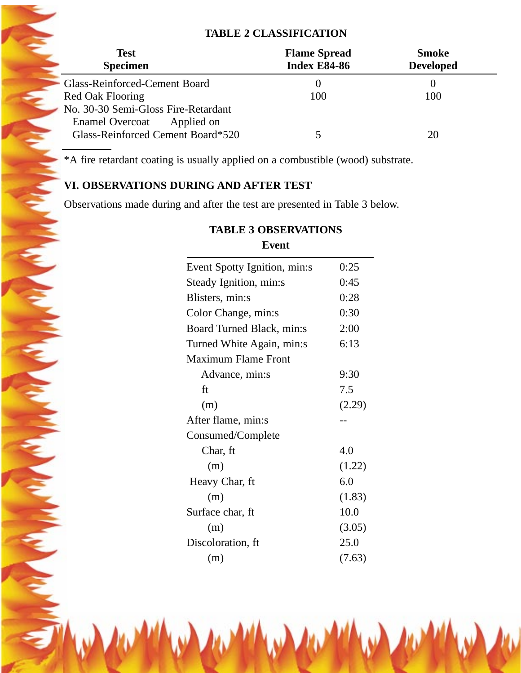#### **TABLE 2 CLASSIFICATION**

| <b>Test</b><br><b>Specimen</b>       | <b>Flame Spread</b><br><b>Index E84-86</b> | <b>Smoke</b><br><b>Developed</b> |
|--------------------------------------|--------------------------------------------|----------------------------------|
| Glass-Reinforced-Cement Board        |                                            |                                  |
| Red Oak Flooring                     | 100                                        | 100                              |
| No. 30-30 Semi-Gloss Fire-Retardant  |                                            |                                  |
| <b>Enamel Overcoat</b><br>Applied on |                                            |                                  |
| Glass-Reinforced Cement Board*520    |                                            | 20                               |

\*A fire retardant coating is usually applied on a combustible (wood) substrate.

#### **VI. OBSERVATIONS DURING AND AFTER TEST**

Observations made during and after the test are presented in Table 3 below.

| event                        |        |
|------------------------------|--------|
| Event Spotty Ignition, min:s | 0:25   |
| Steady Ignition, min:s       | 0:45   |
| Blisters, min:s              | 0:28   |
| Color Change, min:s          | 0:30   |
| Board Turned Black, min:s    | 2:00   |
| Turned White Again, min:s    | 6:13   |
| <b>Maximum Flame Front</b>   |        |
| Advance, min:s               | 9:30   |
| ft                           | 7.5    |
| (m)                          | (2.29) |
| After flame, min:s           |        |
| Consumed/Complete            |        |
| Char, ft                     | 4.0    |
| (m)                          | (1.22) |
| Heavy Char, ft               | 6.0    |
| (m)                          | (1.83) |
| Surface char, ft             | 10.0   |
| (m)                          | (3.05) |
| Discoloration, ft            | 25.0   |
| (m)                          | (7.63) |

#### **TABLE 3 OBSERVATIONS Event**